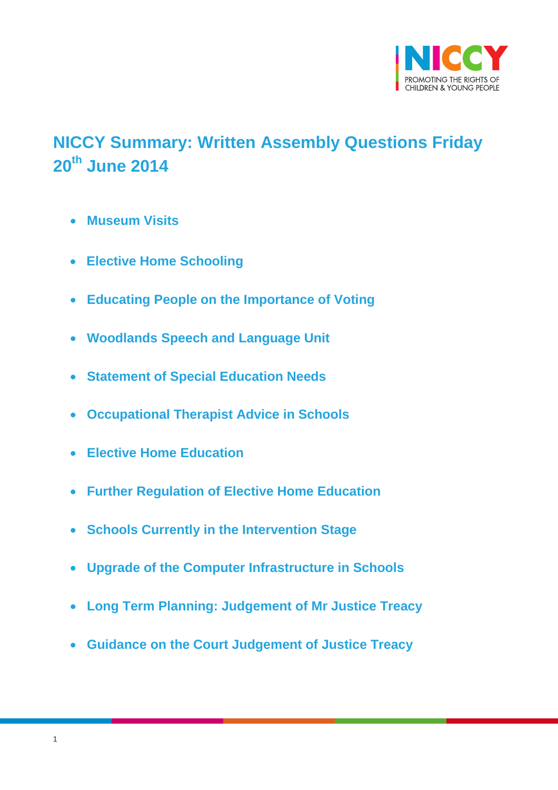

# <span id="page-0-0"></span>**NICCY Summary: Written Assembly Questions Friday 20th June 2014**

- **[Museum Visits](#page-2-0)**
- **[Elective Home Schooling](#page-4-0)**
- **[Educating People on the Importance of Voting](#page-4-1)**
- **[Woodlands Speech and Language Unit](#page-5-0)**
- **[Statement of Special Education Needs](#page-5-1)**
- **[Occupational Therapist Advice in Schools](#page-6-0)**
- **[Elective Home Education](#page-7-0)**
- **[Further Regulation of Elective Home Education](#page-7-1)**
- **[Schools Currently in the Intervention Stage](#page-8-0)**
- **[Upgrade of the Computer Infrastructure in Schools](#page-9-0)**
- **[Long Term Planning: Judgement of Mr Justice Treacy](#page-9-1)**
- **[Guidance on the Court Judgement of Justice Treacy](#page-10-0)**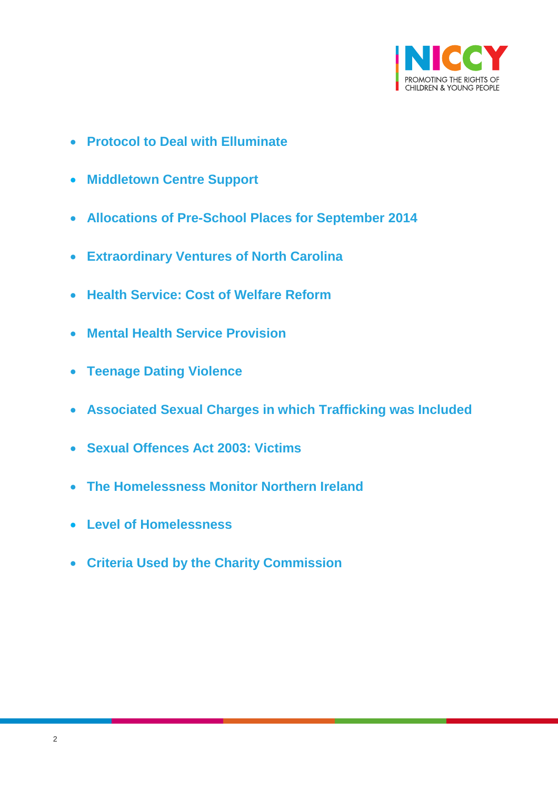

- **[Protocol to Deal with Elluminate](#page-10-1)**
- **[Middletown Centre Support](#page-11-0)**
- **[Allocations of Pre-School Places for September 2014](#page-12-0)**
- **[Extraordinary Ventures of North Carolina](#page-13-0)**
- **[Health Service: Cost of Welfare Reform](#page-15-0)**
- **[Mental Health Service Provision](#page-16-0)**
- **[Teenage Dating Violence](#page-17-0)**
- **[Associated Sexual Charges in which Trafficking was Included](#page-18-0)**
- **[Sexual Offences Act 2003: Victims](#page-19-0)**
- **[The Homelessness Monitor Northern Ireland](#page-20-0)**
- **[Level of Homelessness](#page-22-0)**
- **[Criteria Used by the Charity Commission](#page-24-0)**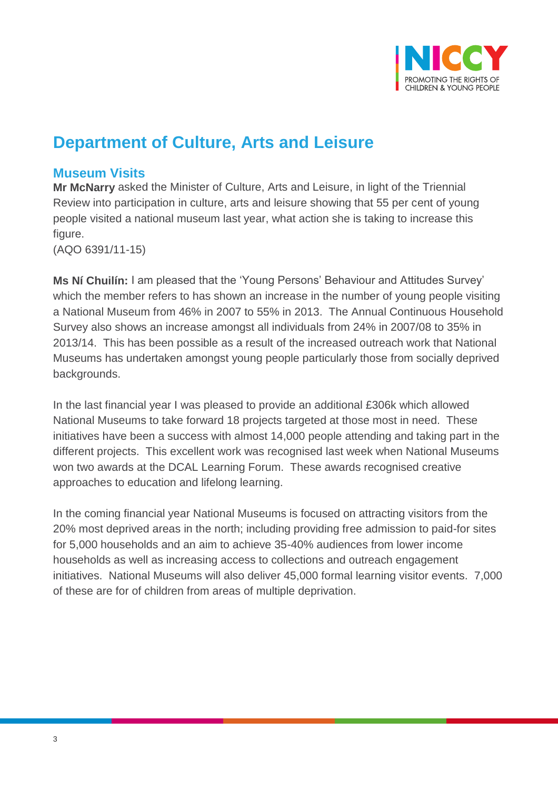

# **Department of Culture, Arts and Leisure**

### <span id="page-2-0"></span>**Museum Visits**

**Mr McNarry** asked the Minister of Culture, Arts and Leisure, in light of the Triennial Review into participation in culture, arts and leisure showing that 55 per cent of young people visited a national museum last year, what action she is taking to increase this figure.

(AQO 6391/11-15)

**Ms Ní Chuilín:** I am pleased that the 'Young Persons' Behaviour and Attitudes Survey' which the member refers to has shown an increase in the number of young people visiting a National Museum from 46% in 2007 to 55% in 2013. The Annual Continuous Household Survey also shows an increase amongst all individuals from 24% in 2007/08 to 35% in 2013/14. This has been possible as a result of the increased outreach work that National Museums has undertaken amongst young people particularly those from socially deprived backgrounds.

In the last financial year I was pleased to provide an additional £306k which allowed National Museums to take forward 18 projects targeted at those most in need. These initiatives have been a success with almost 14,000 people attending and taking part in the different projects. This excellent work was recognised last week when National Museums won two awards at the DCAL Learning Forum. These awards recognised creative approaches to education and lifelong learning.

In the coming financial year National Museums is focused on attracting visitors from the 20% most deprived areas in the north; including providing free admission to paid-for sites for 5,000 households and an aim to achieve 35-40% audiences from lower income households as well as increasing access to collections and outreach engagement initiatives. National Museums will also deliver 45,000 formal learning visitor events. 7,000 of these are for of children from areas of multiple deprivation.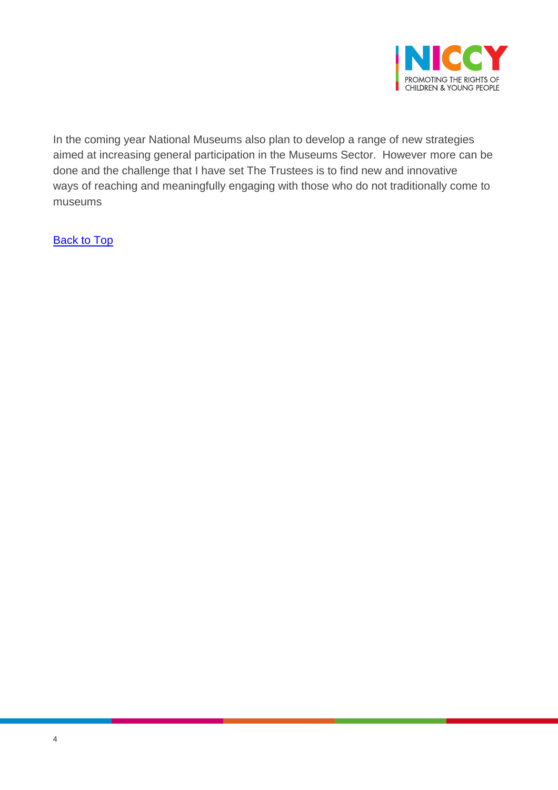

In the coming year National Museums also plan to develop a range of new strategies aimed at increasing general participation in the Museums Sector. However more can be done and the challenge that I have set The Trustees is to find new and innovative ways of reaching and meaningfully engaging with those who do not traditionally come to museums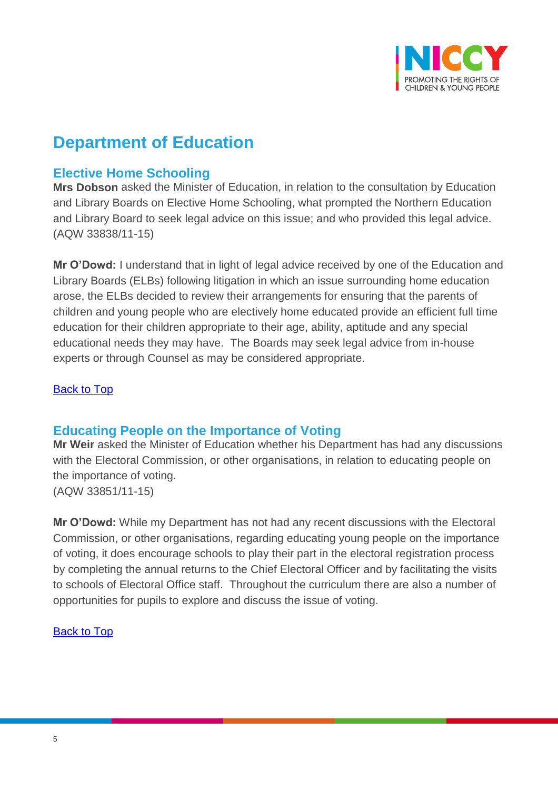

# **Department of Education**

# <span id="page-4-0"></span>**Elective Home Schooling**

**Mrs Dobson** asked the Minister of Education, in relation to the consultation by Education and Library Boards on Elective Home Schooling, what prompted the Northern Education and Library Board to seek legal advice on this issue; and who provided this legal advice. (AQW 33838/11-15)

**Mr O'Dowd:** I understand that in light of legal advice received by one of the Education and Library Boards (ELBs) following litigation in which an issue surrounding home education arose, the ELBs decided to review their arrangements for ensuring that the parents of children and young people who are electively home educated provide an efficient full time education for their children appropriate to their age, ability, aptitude and any special educational needs they may have. The Boards may seek legal advice from in-house experts or through Counsel as may be considered appropriate.

[Back to Top](#page-0-0)

## <span id="page-4-1"></span>**Educating People on the Importance of Voting**

**Mr Weir** asked the Minister of Education whether his Department has had any discussions with the Electoral Commission, or other organisations, in relation to educating people on the importance of voting. (AQW 33851/11-15)

**Mr O'Dowd:** While my Department has not had any recent discussions with the Electoral Commission, or other organisations, regarding educating young people on the importance of voting, it does encourage schools to play their part in the electoral registration process by completing the annual returns to the Chief Electoral Officer and by facilitating the visits to schools of Electoral Office staff. Throughout the curriculum there are also a number of opportunities for pupils to explore and discuss the issue of voting.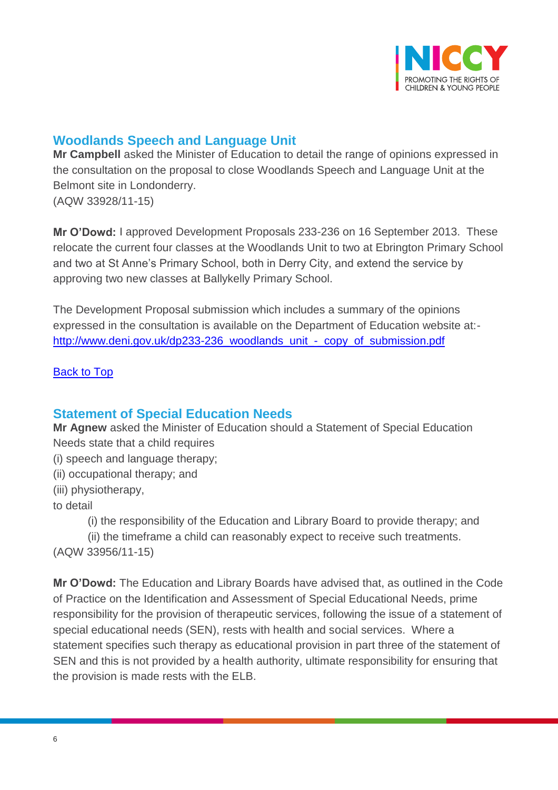

# <span id="page-5-0"></span>**Woodlands Speech and Language Unit**

**Mr Campbell** asked the Minister of Education to detail the range of opinions expressed in the consultation on the proposal to close Woodlands Speech and Language Unit at the Belmont site in Londonderry. (AQW 33928/11-15)

**Mr O'Dowd:** I approved Development Proposals 233-236 on 16 September 2013. These relocate the current four classes at the Woodlands Unit to two at Ebrington Primary School and two at St Anne's Primary School, both in Derry City, and extend the service by approving two new classes at Ballykelly Primary School.

The Development Proposal submission which includes a summary of the opinions expressed in the consultation is available on the Department of Education website at: [http://www.deni.gov.uk/dp233-236\\_woodlands\\_unit\\_-\\_copy\\_of\\_submission.pdf](http://www.deni.gov.uk/dp233-236_woodlands_unit_-_copy_of_submission.pdf)

### [Back to Top](#page-0-0)

## <span id="page-5-1"></span>**Statement of Special Education Needs**

**Mr Agnew** asked the Minister of Education should a Statement of Special Education Needs state that a child requires

- (i) speech and language therapy;
- (ii) occupational therapy; and
- (iii) physiotherapy,

to detail

(i) the responsibility of the Education and Library Board to provide therapy; and

 (ii) the timeframe a child can reasonably expect to receive such treatments. (AQW 33956/11-15)

**Mr O'Dowd:** The Education and Library Boards have advised that, as outlined in the Code of Practice on the Identification and Assessment of Special Educational Needs, prime responsibility for the provision of therapeutic services, following the issue of a statement of special educational needs (SEN), rests with health and social services. Where a statement specifies such therapy as educational provision in part three of the statement of SEN and this is not provided by a health authority, ultimate responsibility for ensuring that the provision is made rests with the ELB.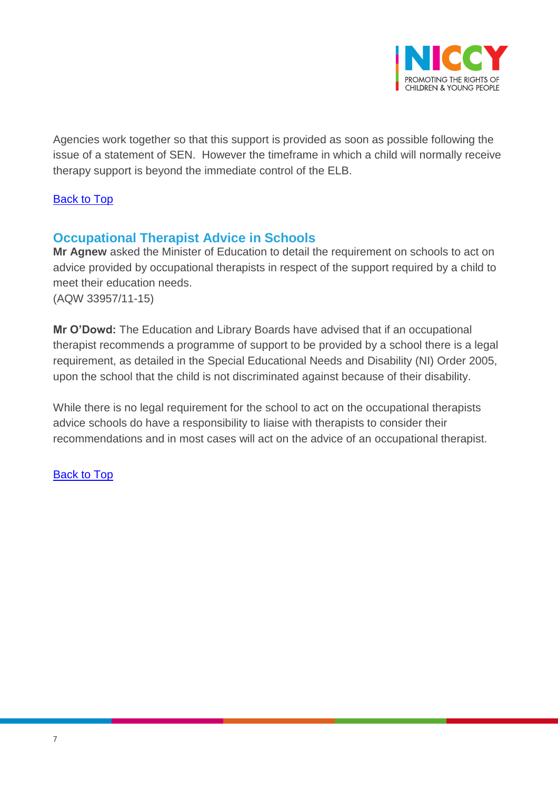

Agencies work together so that this support is provided as soon as possible following the issue of a statement of SEN. However the timeframe in which a child will normally receive therapy support is beyond the immediate control of the ELB.

### [Back to Top](#page-0-0)

## <span id="page-6-0"></span>**Occupational Therapist Advice in Schools**

**Mr Agnew** asked the Minister of Education to detail the requirement on schools to act on advice provided by occupational therapists in respect of the support required by a child to meet their education needs. (AQW 33957/11-15)

**Mr O'Dowd:** The Education and Library Boards have advised that if an occupational therapist recommends a programme of support to be provided by a school there is a legal requirement, as detailed in the Special Educational Needs and Disability (NI) Order 2005, upon the school that the child is not discriminated against because of their disability.

While there is no legal requirement for the school to act on the occupational therapists advice schools do have a responsibility to liaise with therapists to consider their recommendations and in most cases will act on the advice of an occupational therapist.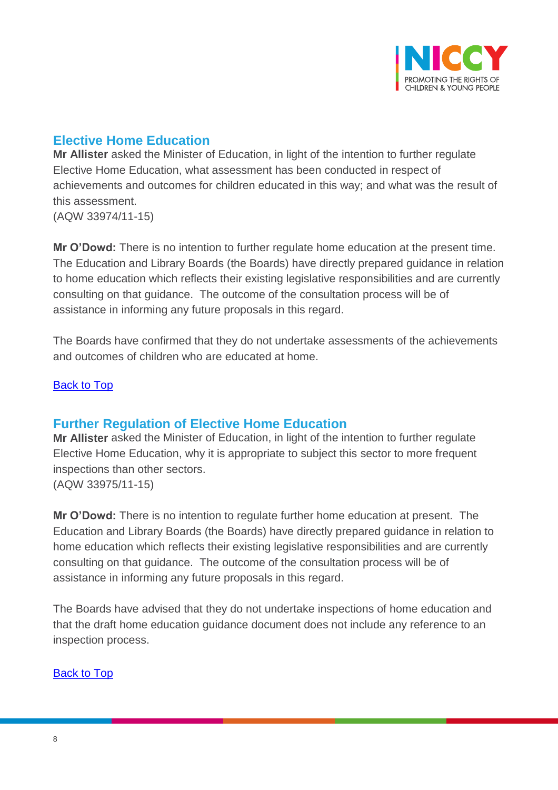

# <span id="page-7-0"></span>**Elective Home Education**

**Mr Allister** asked the Minister of Education, in light of the intention to further regulate Elective Home Education, what assessment has been conducted in respect of achievements and outcomes for children educated in this way; and what was the result of this assessment.

(AQW 33974/11-15)

**Mr O'Dowd:** There is no intention to further regulate home education at the present time. The Education and Library Boards (the Boards) have directly prepared guidance in relation to home education which reflects their existing legislative responsibilities and are currently consulting on that guidance. The outcome of the consultation process will be of assistance in informing any future proposals in this regard.

The Boards have confirmed that they do not undertake assessments of the achievements and outcomes of children who are educated at home.

#### **[Back to Top](#page-0-0)**

## <span id="page-7-1"></span>**Further Regulation of Elective Home Education**

**Mr Allister** asked the Minister of Education, in light of the intention to further regulate Elective Home Education, why it is appropriate to subject this sector to more frequent inspections than other sectors. (AQW 33975/11-15)

**Mr O'Dowd:** There is no intention to regulate further home education at present. The Education and Library Boards (the Boards) have directly prepared guidance in relation to home education which reflects their existing legislative responsibilities and are currently consulting on that guidance. The outcome of the consultation process will be of assistance in informing any future proposals in this regard.

The Boards have advised that they do not undertake inspections of home education and that the draft home education guidance document does not include any reference to an inspection process.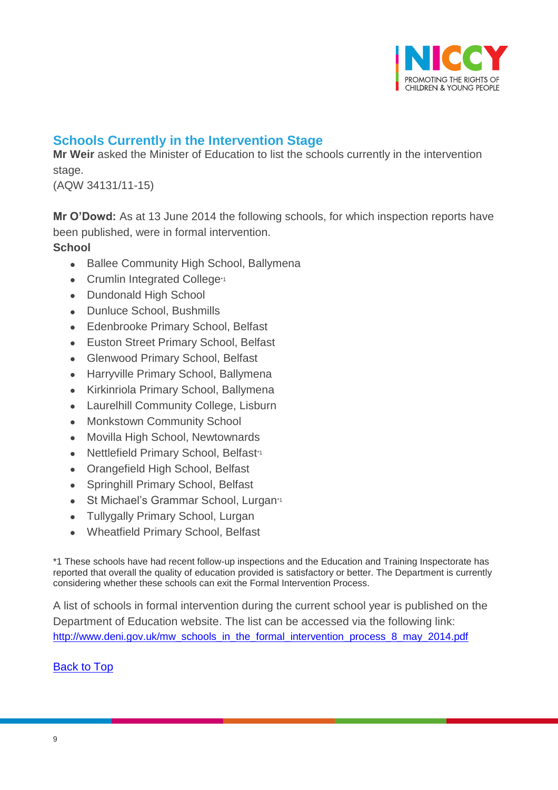

# <span id="page-8-0"></span>**Schools Currently in the Intervention Stage**

**Mr Weir** asked the Minister of Education to list the schools currently in the intervention stage.

(AQW 34131/11-15)

**Mr O'Dowd:** As at 13 June 2014 the following schools, for which inspection reports have been published, were in formal intervention.

#### **School**

- Ballee Community High School, Ballymena
- Crumlin Integrated College<sup>\*1</sup>
- Dundonald High School
- Dunluce School, Bushmills
- Edenbrooke Primary School, Belfast
- Euston Street Primary School, Belfast
- Glenwood Primary School, Belfast
- Harryville Primary School, Ballymena
- Kirkinriola Primary School, Ballymena
- Laurelhill Community College, Lisburn
- Monkstown Community School
- Movilla High School, Newtownards
- Nettlefield Primary School, Belfast\*1
- Orangefield High School, Belfast
- Springhill Primary School, Belfast
- St Michael's Grammar School, Lurgan\*1
- Tullygally Primary School, Lurgan
- Wheatfield Primary School, Belfast

\*1 These schools have had recent follow-up inspections and the Education and Training Inspectorate has reported that overall the quality of education provided is satisfactory or better. The Department is currently considering whether these schools can exit the Formal Intervention Process.

A list of schools in formal intervention during the current school year is published on the Department of Education website. The list can be accessed via the following link: [http://www.deni.gov.uk/mw\\_schools\\_in\\_the\\_formal\\_intervention\\_process\\_8\\_may\\_2014.pdf](http://www.deni.gov.uk/mw_schools_in_the_formal_intervention_process_8_may_2014.pdf)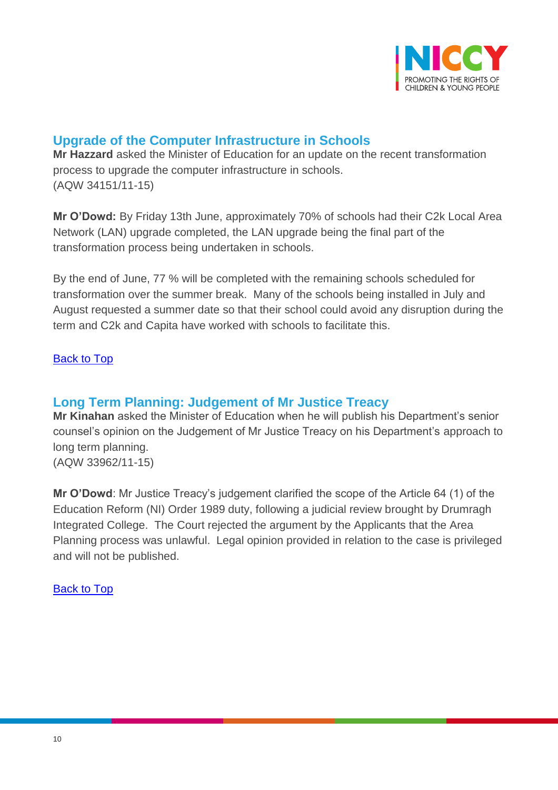

# <span id="page-9-0"></span>**Upgrade of the Computer Infrastructure in Schools**

**Mr Hazzard** asked the Minister of Education for an update on the recent transformation process to upgrade the computer infrastructure in schools. (AQW 34151/11-15)

**Mr O'Dowd:** By Friday 13th June, approximately 70% of schools had their C2k Local Area Network (LAN) upgrade completed, the LAN upgrade being the final part of the transformation process being undertaken in schools.

By the end of June, 77 % will be completed with the remaining schools scheduled for transformation over the summer break. Many of the schools being installed in July and August requested a summer date so that their school could avoid any disruption during the term and C2k and Capita have worked with schools to facilitate this.

### [Back to Top](#page-0-0)

## <span id="page-9-1"></span>**Long Term Planning: Judgement of Mr Justice Treacy**

**Mr Kinahan** asked the Minister of Education when he will publish his Department's senior counsel's opinion on the Judgement of Mr Justice Treacy on his Department's approach to long term planning.

(AQW 33962/11-15)

**Mr O'Dowd**: Mr Justice Treacy's judgement clarified the scope of the Article 64 (1) of the Education Reform (NI) Order 1989 duty, following a judicial review brought by Drumragh Integrated College. The Court rejected the argument by the Applicants that the Area Planning process was unlawful. Legal opinion provided in relation to the case is privileged and will not be published.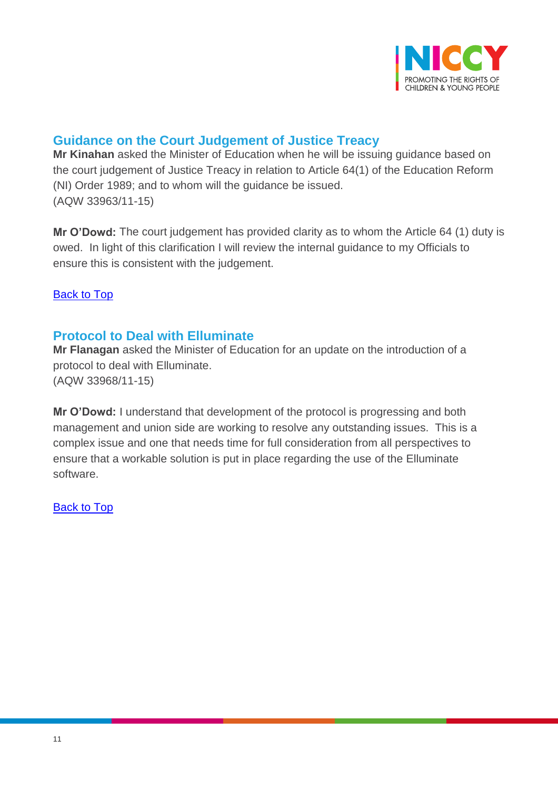

# <span id="page-10-0"></span>**Guidance on the Court Judgement of Justice Treacy**

**Mr Kinahan** asked the Minister of Education when he will be issuing guidance based on the court judgement of Justice Treacy in relation to Article 64(1) of the Education Reform (NI) Order 1989; and to whom will the guidance be issued. (AQW 33963/11-15)

**Mr O'Dowd:** The court judgement has provided clarity as to whom the Article 64 (1) duty is owed. In light of this clarification I will review the internal guidance to my Officials to ensure this is consistent with the judgement.

[Back to Top](#page-0-0)

# <span id="page-10-1"></span>**Protocol to Deal with Elluminate**

**Mr Flanagan** asked the Minister of Education for an update on the introduction of a protocol to deal with Elluminate. (AQW 33968/11-15)

**Mr O'Dowd:** I understand that development of the protocol is progressing and both management and union side are working to resolve any outstanding issues. This is a complex issue and one that needs time for full consideration from all perspectives to ensure that a workable solution is put in place regarding the use of the Elluminate software.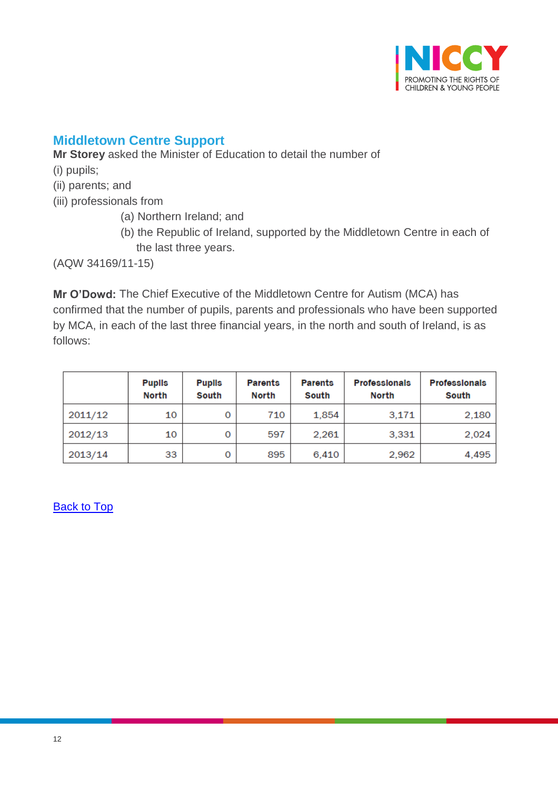

# <span id="page-11-0"></span>**Middletown Centre Support**

**Mr Storey** asked the Minister of Education to detail the number of

- (i) pupils;
- (ii) parents; and

(iii) professionals from

- (a) Northern Ireland; and
- (b) the Republic of Ireland, supported by the Middletown Centre in each of the last three years.

(AQW 34169/11-15)

**Mr O'Dowd:** The Chief Executive of the Middletown Centre for Autism (MCA) has confirmed that the number of pupils, parents and professionals who have been supported by MCA, in each of the last three financial years, in the north and south of Ireland, is as follows:

|         | <b>Pupils</b><br><b>North</b> | <b>Puplis</b><br>South | <b>Parents</b><br>North | <b>Parents</b><br>South | <b>Professionals</b><br>North | <b>Professionals</b><br>South |
|---------|-------------------------------|------------------------|-------------------------|-------------------------|-------------------------------|-------------------------------|
| 2011/12 | 10                            | 0                      | 710                     | 1.854                   | 3,171                         | 2,180                         |
| 2012/13 | 10                            | 0                      | 597                     | 2,261                   | 3,331                         | 2,024                         |
| 2013/14 | 33                            | 0                      | 895                     | 6.410                   | 2.962                         | 4,495                         |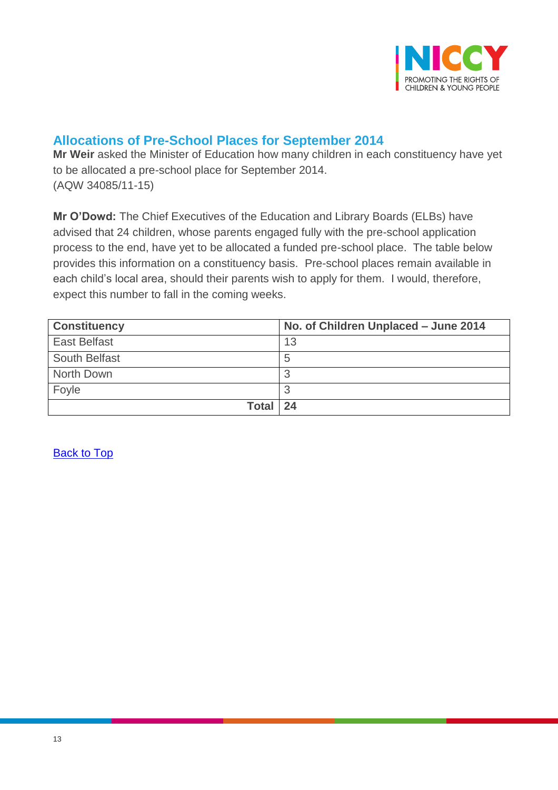

# <span id="page-12-0"></span>**Allocations of Pre-School Places for September 2014**

**Mr Weir** asked the Minister of Education how many children in each constituency have yet to be allocated a pre-school place for September 2014. (AQW 34085/11-15)

**Mr O'Dowd:** The Chief Executives of the Education and Library Boards (ELBs) have advised that 24 children, whose parents engaged fully with the pre-school application process to the end, have yet to be allocated a funded pre-school place. The table below provides this information on a constituency basis. Pre-school places remain available in each child's local area, should their parents wish to apply for them. I would, therefore, expect this number to fall in the coming weeks.

| <b>Constituency</b> | No. of Children Unplaced - June 2014 |
|---------------------|--------------------------------------|
| <b>East Belfast</b> | 13                                   |
| South Belfast       | 5                                    |
| North Down          | я                                    |
| Foyle               | ≏                                    |
| <b>Total</b>        | $\sqrt{24}$                          |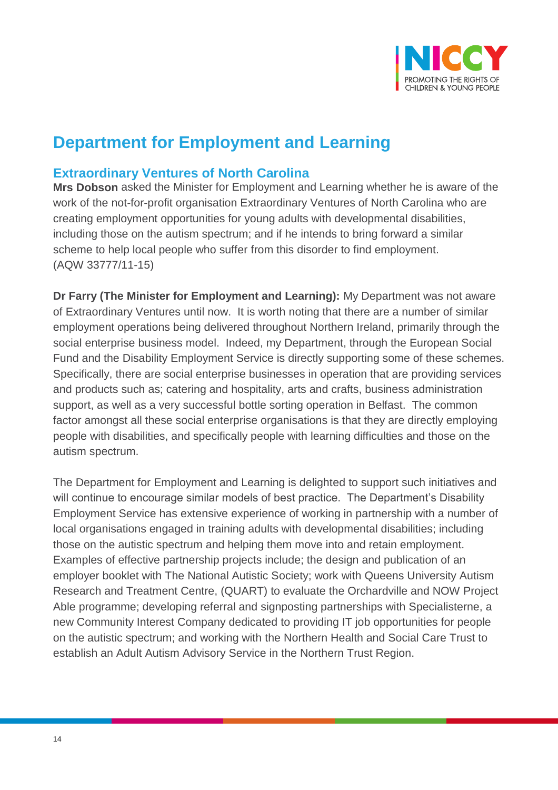

# **Department for Employment and Learning**

## <span id="page-13-0"></span>**Extraordinary Ventures of North Carolina**

**Mrs Dobson** asked the Minister for Employment and Learning whether he is aware of the work of the not-for-profit organisation Extraordinary Ventures of North Carolina who are creating employment opportunities for young adults with developmental disabilities, including those on the autism spectrum; and if he intends to bring forward a similar scheme to help local people who suffer from this disorder to find employment. (AQW 33777/11-15)

**Dr Farry (The Minister for Employment and Learning):** My Department was not aware of Extraordinary Ventures until now. It is worth noting that there are a number of similar employment operations being delivered throughout Northern Ireland, primarily through the social enterprise business model. Indeed, my Department, through the European Social Fund and the Disability Employment Service is directly supporting some of these schemes. Specifically, there are social enterprise businesses in operation that are providing services and products such as; catering and hospitality, arts and crafts, business administration support, as well as a very successful bottle sorting operation in Belfast. The common factor amongst all these social enterprise organisations is that they are directly employing people with disabilities, and specifically people with learning difficulties and those on the autism spectrum.

The Department for Employment and Learning is delighted to support such initiatives and will continue to encourage similar models of best practice. The Department's Disability Employment Service has extensive experience of working in partnership with a number of local organisations engaged in training adults with developmental disabilities; including those on the autistic spectrum and helping them move into and retain employment. Examples of effective partnership projects include; the design and publication of an employer booklet with The National Autistic Society; work with Queens University Autism Research and Treatment Centre, (QUART) to evaluate the Orchardville and NOW Project Able programme; developing referral and signposting partnerships with Specialisterne, a new Community Interest Company dedicated to providing IT job opportunities for people on the autistic spectrum; and working with the Northern Health and Social Care Trust to establish an Adult Autism Advisory Service in the Northern Trust Region.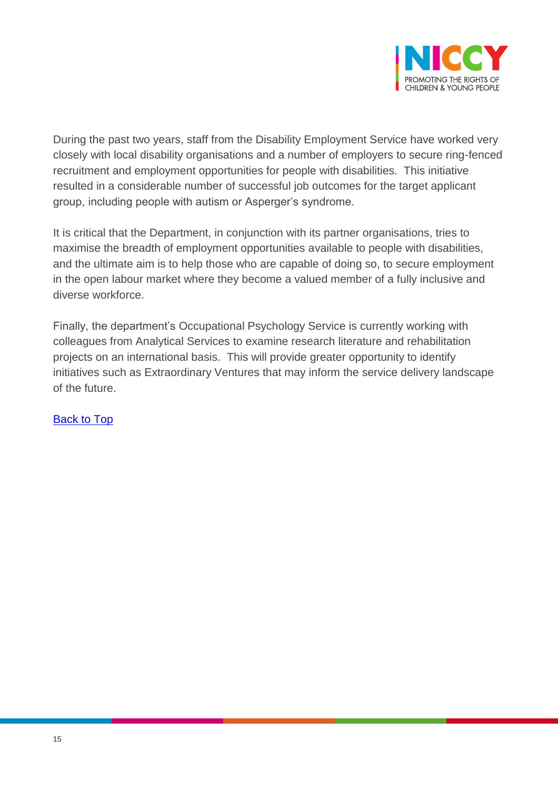

During the past two years, staff from the Disability Employment Service have worked very closely with local disability organisations and a number of employers to secure ring-fenced recruitment and employment opportunities for people with disabilities. This initiative resulted in a considerable number of successful job outcomes for the target applicant group, including people with autism or Asperger's syndrome.

It is critical that the Department, in conjunction with its partner organisations, tries to maximise the breadth of employment opportunities available to people with disabilities, and the ultimate aim is to help those who are capable of doing so, to secure employment in the open labour market where they become a valued member of a fully inclusive and diverse workforce.

Finally, the department's Occupational Psychology Service is currently working with colleagues from Analytical Services to examine research literature and rehabilitation projects on an international basis. This will provide greater opportunity to identify initiatives such as Extraordinary Ventures that may inform the service delivery landscape of the future.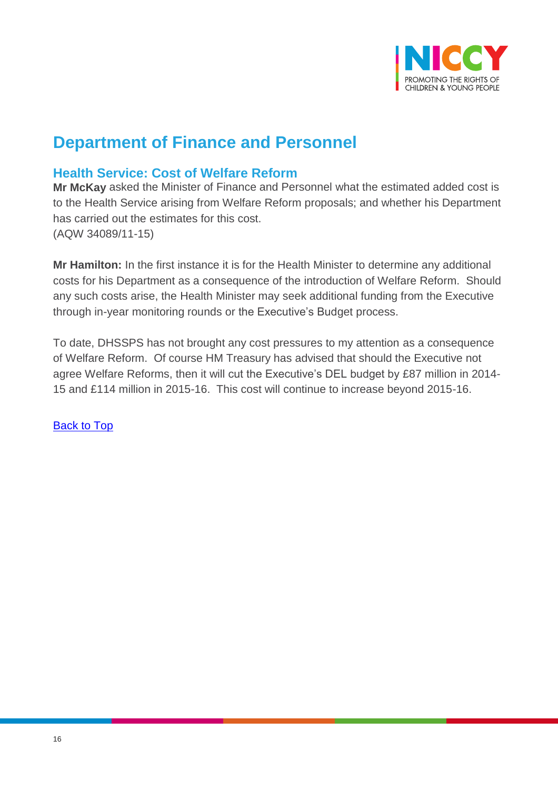

# **Department of Finance and Personnel**

## <span id="page-15-0"></span>**Health Service: Cost of Welfare Reform**

**Mr McKay** asked the Minister of Finance and Personnel what the estimated added cost is to the Health Service arising from Welfare Reform proposals; and whether his Department has carried out the estimates for this cost. (AQW 34089/11-15)

**Mr Hamilton:** In the first instance it is for the Health Minister to determine any additional costs for his Department as a consequence of the introduction of Welfare Reform. Should any such costs arise, the Health Minister may seek additional funding from the Executive through in-year monitoring rounds or the Executive's Budget process.

To date, DHSSPS has not brought any cost pressures to my attention as a consequence of Welfare Reform. Of course HM Treasury has advised that should the Executive not agree Welfare Reforms, then it will cut the Executive's DEL budget by £87 million in 2014- 15 and £114 million in 2015-16. This cost will continue to increase beyond 2015-16.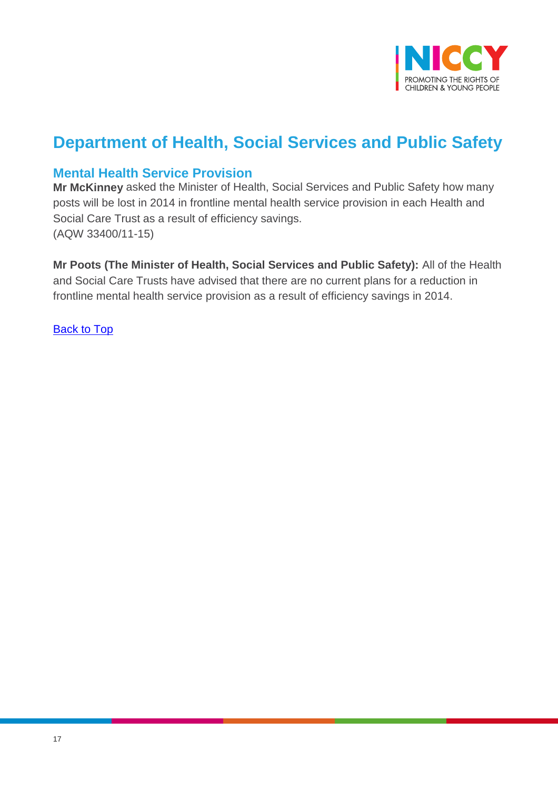

# **Department of Health, Social Services and Public Safety**

## <span id="page-16-0"></span>**Mental Health Service Provision**

**Mr McKinney** asked the Minister of Health, Social Services and Public Safety how many posts will be lost in 2014 in frontline mental health service provision in each Health and Social Care Trust as a result of efficiency savings. (AQW 33400/11-15)

**Mr Poots (The Minister of Health, Social Services and Public Safety):** All of the Health and Social Care Trusts have advised that there are no current plans for a reduction in frontline mental health service provision as a result of efficiency savings in 2014.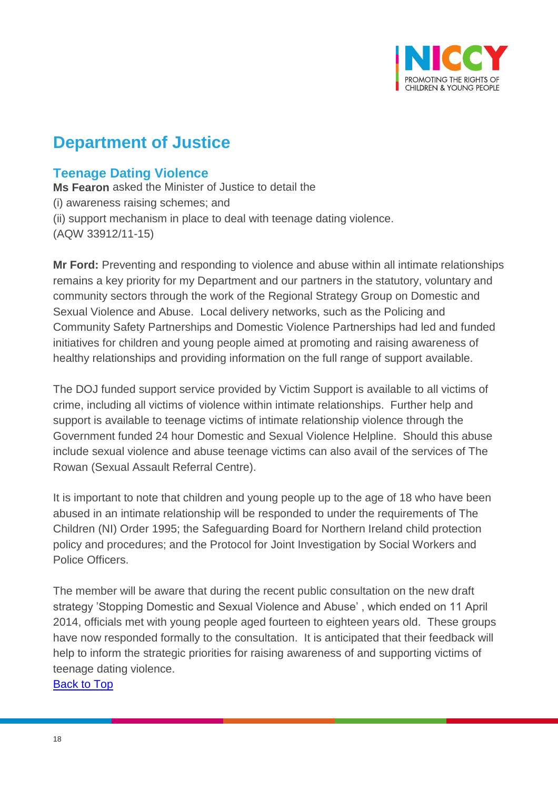

# **Department of Justice**

# <span id="page-17-0"></span>**Teenage Dating Violence**

**Ms Fearon** asked the Minister of Justice to detail the (i) awareness raising schemes; and (ii) support mechanism in place to deal with teenage dating violence. (AQW 33912/11-15)

**Mr Ford:** Preventing and responding to violence and abuse within all intimate relationships remains a key priority for my Department and our partners in the statutory, voluntary and community sectors through the work of the Regional Strategy Group on Domestic and Sexual Violence and Abuse. Local delivery networks, such as the Policing and Community Safety Partnerships and Domestic Violence Partnerships had led and funded initiatives for children and young people aimed at promoting and raising awareness of healthy relationships and providing information on the full range of support available.

The DOJ funded support service provided by Victim Support is available to all victims of crime, including all victims of violence within intimate relationships. Further help and support is available to teenage victims of intimate relationship violence through the Government funded 24 hour Domestic and Sexual Violence Helpline. Should this abuse include sexual violence and abuse teenage victims can also avail of the services of The Rowan (Sexual Assault Referral Centre).

It is important to note that children and young people up to the age of 18 who have been abused in an intimate relationship will be responded to under the requirements of The Children (NI) Order 1995; the Safeguarding Board for Northern Ireland child protection policy and procedures; and the Protocol for Joint Investigation by Social Workers and Police Officers.

The member will be aware that during the recent public consultation on the new draft strategy 'Stopping Domestic and Sexual Violence and Abuse' , which ended on 11 April 2014, officials met with young people aged fourteen to eighteen years old. These groups have now responded formally to the consultation. It is anticipated that their feedback will help to inform the strategic priorities for raising awareness of and supporting victims of teenage dating violence.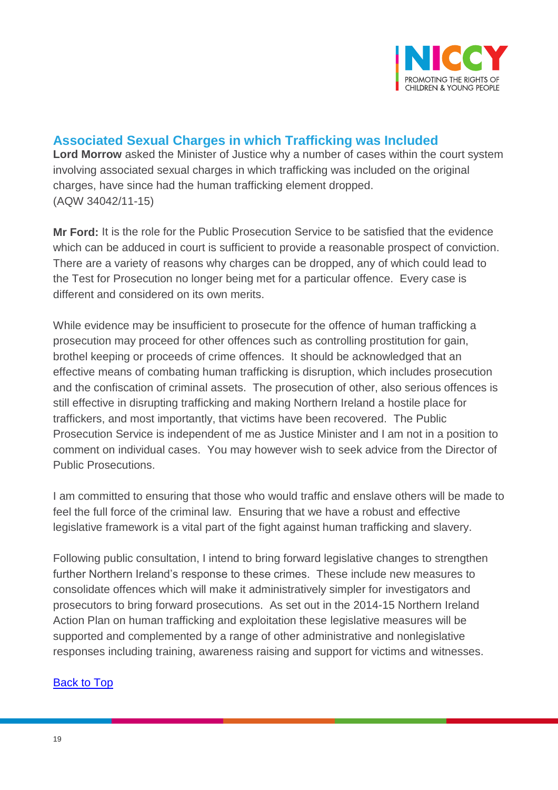

# <span id="page-18-0"></span>**Associated Sexual Charges in which Trafficking was Included**

**Lord Morrow** asked the Minister of Justice why a number of cases within the court system involving associated sexual charges in which trafficking was included on the original charges, have since had the human trafficking element dropped. (AQW 34042/11-15)

**Mr Ford:** It is the role for the Public Prosecution Service to be satisfied that the evidence which can be adduced in court is sufficient to provide a reasonable prospect of conviction. There are a variety of reasons why charges can be dropped, any of which could lead to the Test for Prosecution no longer being met for a particular offence. Every case is different and considered on its own merits.

While evidence may be insufficient to prosecute for the offence of human trafficking a prosecution may proceed for other offences such as controlling prostitution for gain, brothel keeping or proceeds of crime offences. It should be acknowledged that an effective means of combating human trafficking is disruption, which includes prosecution and the confiscation of criminal assets. The prosecution of other, also serious offences is still effective in disrupting trafficking and making Northern Ireland a hostile place for traffickers, and most importantly, that victims have been recovered. The Public Prosecution Service is independent of me as Justice Minister and I am not in a position to comment on individual cases. You may however wish to seek advice from the Director of Public Prosecutions.

I am committed to ensuring that those who would traffic and enslave others will be made to feel the full force of the criminal law. Ensuring that we have a robust and effective legislative framework is a vital part of the fight against human trafficking and slavery.

Following public consultation, I intend to bring forward legislative changes to strengthen further Northern Ireland's response to these crimes. These include new measures to consolidate offences which will make it administratively simpler for investigators and prosecutors to bring forward prosecutions. As set out in the 2014-15 Northern Ireland Action Plan on human trafficking and exploitation these legislative measures will be supported and complemented by a range of other administrative and nonlegislative responses including training, awareness raising and support for victims and witnesses.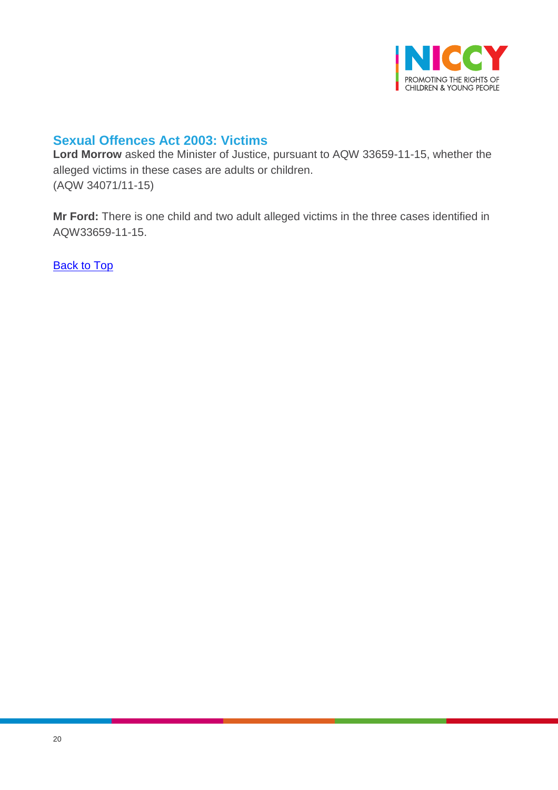

# <span id="page-19-0"></span>**Sexual Offences Act 2003: Victims**

**Lord Morrow** asked the Minister of Justice, pursuant to AQW 33659-11-15, whether the alleged victims in these cases are adults or children. (AQW 34071/11-15)

**Mr Ford:** There is one child and two adult alleged victims in the three cases identified in AQW33659-11-15.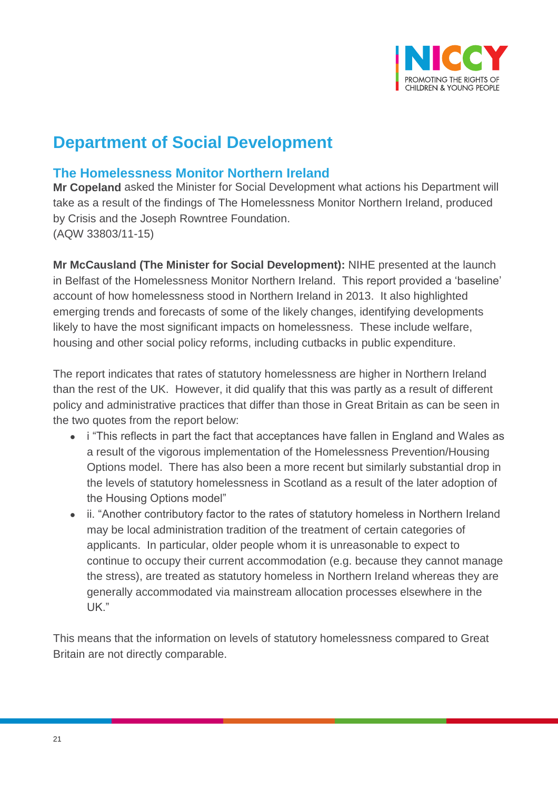

# **Department of Social Development**

## <span id="page-20-0"></span>**The Homelessness Monitor Northern Ireland**

**Mr Copeland** asked the Minister for Social Development what actions his Department will take as a result of the findings of The Homelessness Monitor Northern Ireland, produced by Crisis and the Joseph Rowntree Foundation. (AQW 33803/11-15)

**Mr McCausland (The Minister for Social Development):** NIHE presented at the launch in Belfast of the Homelessness Monitor Northern Ireland. This report provided a 'baseline' account of how homelessness stood in Northern Ireland in 2013. It also highlighted emerging trends and forecasts of some of the likely changes, identifying developments likely to have the most significant impacts on homelessness. These include welfare, housing and other social policy reforms, including cutbacks in public expenditure.

The report indicates that rates of statutory homelessness are higher in Northern Ireland than the rest of the UK. However, it did qualify that this was partly as a result of different policy and administrative practices that differ than those in Great Britain as can be seen in the two quotes from the report below:

- i "This reflects in part the fact that acceptances have fallen in England and Wales as a result of the vigorous implementation of the Homelessness Prevention/Housing Options model. There has also been a more recent but similarly substantial drop in the levels of statutory homelessness in Scotland as a result of the later adoption of the Housing Options model"
- ii. "Another contributory factor to the rates of statutory homeless in Northern Ireland may be local administration tradition of the treatment of certain categories of applicants. In particular, older people whom it is unreasonable to expect to continue to occupy their current accommodation (e.g. because they cannot manage the stress), are treated as statutory homeless in Northern Ireland whereas they are generally accommodated via mainstream allocation processes elsewhere in the UK."

This means that the information on levels of statutory homelessness compared to Great Britain are not directly comparable.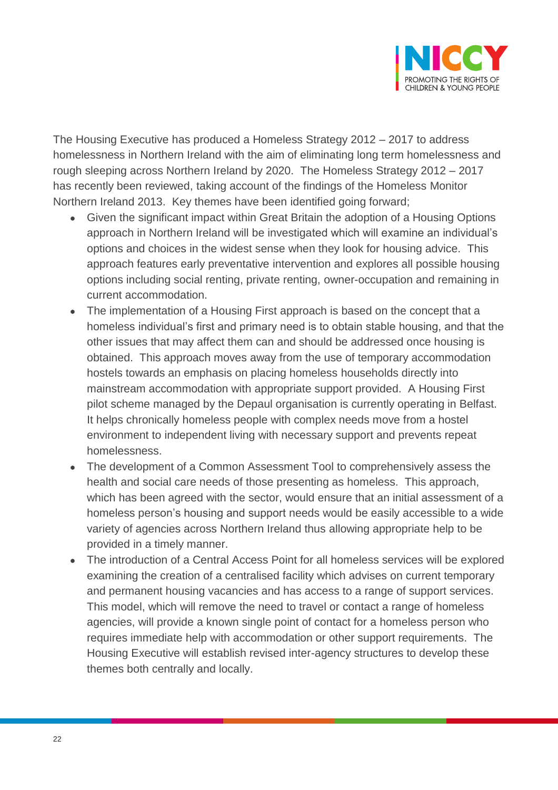

The Housing Executive has produced a Homeless Strategy 2012 – 2017 to address homelessness in Northern Ireland with the aim of eliminating long term homelessness and rough sleeping across Northern Ireland by 2020. The Homeless Strategy 2012 – 2017 has recently been reviewed, taking account of the findings of the Homeless Monitor Northern Ireland 2013. Key themes have been identified going forward;

- Given the significant impact within Great Britain the adoption of a Housing Options approach in Northern Ireland will be investigated which will examine an individual's options and choices in the widest sense when they look for housing advice. This approach features early preventative intervention and explores all possible housing options including social renting, private renting, owner-occupation and remaining in current accommodation.
- The implementation of a Housing First approach is based on the concept that a homeless individual's first and primary need is to obtain stable housing, and that the other issues that may affect them can and should be addressed once housing is obtained. This approach moves away from the use of temporary accommodation hostels towards an emphasis on placing homeless households directly into mainstream accommodation with appropriate support provided. A Housing First pilot scheme managed by the Depaul organisation is currently operating in Belfast. It helps chronically homeless people with complex needs move from a hostel environment to independent living with necessary support and prevents repeat homelessness.
- The development of a Common Assessment Tool to comprehensively assess the health and social care needs of those presenting as homeless. This approach, which has been agreed with the sector, would ensure that an initial assessment of a homeless person's housing and support needs would be easily accessible to a wide variety of agencies across Northern Ireland thus allowing appropriate help to be provided in a timely manner.
- The introduction of a Central Access Point for all homeless services will be explored examining the creation of a centralised facility which advises on current temporary and permanent housing vacancies and has access to a range of support services. This model, which will remove the need to travel or contact a range of homeless agencies, will provide a known single point of contact for a homeless person who requires immediate help with accommodation or other support requirements. The Housing Executive will establish revised inter-agency structures to develop these themes both centrally and locally.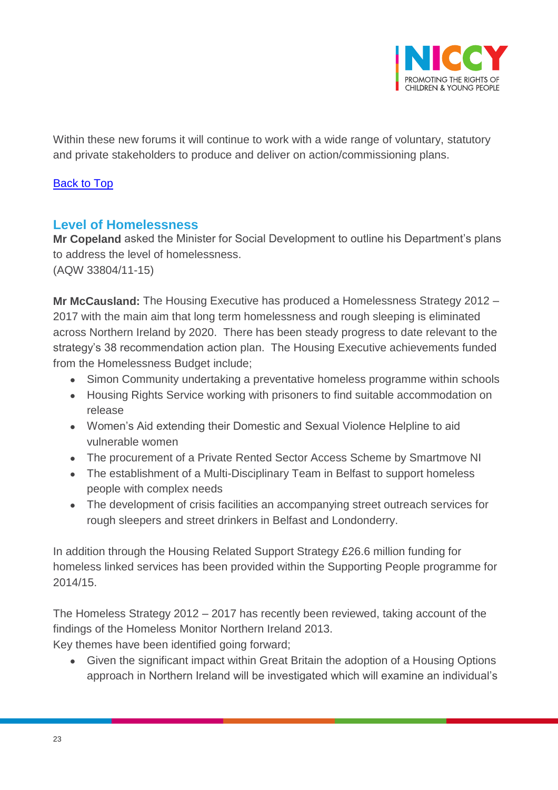

Within these new forums it will continue to work with a wide range of voluntary, statutory and private stakeholders to produce and deliver on action/commissioning plans.

#### [Back to Top](#page-0-0)

## <span id="page-22-0"></span>**Level of Homelessness**

**Mr Copeland** asked the Minister for Social Development to outline his Department's plans to address the level of homelessness.

(AQW 33804/11-15)

**Mr McCausland:** The Housing Executive has produced a Homelessness Strategy 2012 – 2017 with the main aim that long term homelessness and rough sleeping is eliminated across Northern Ireland by 2020. There has been steady progress to date relevant to the strategy's 38 recommendation action plan. The Housing Executive achievements funded from the Homelessness Budget include;

- Simon Community undertaking a preventative homeless programme within schools
- Housing Rights Service working with prisoners to find suitable accommodation on release
- Women's Aid extending their Domestic and Sexual Violence Helpline to aid vulnerable women
- The procurement of a Private Rented Sector Access Scheme by Smartmove NI
- The establishment of a Multi-Disciplinary Team in Belfast to support homeless people with complex needs
- The development of crisis facilities an accompanying street outreach services for rough sleepers and street drinkers in Belfast and Londonderry.

In addition through the Housing Related Support Strategy £26.6 million funding for homeless linked services has been provided within the Supporting People programme for 2014/15.

The Homeless Strategy 2012 – 2017 has recently been reviewed, taking account of the findings of the Homeless Monitor Northern Ireland 2013.

Key themes have been identified going forward;

 Given the significant impact within Great Britain the adoption of a Housing Options approach in Northern Ireland will be investigated which will examine an individual's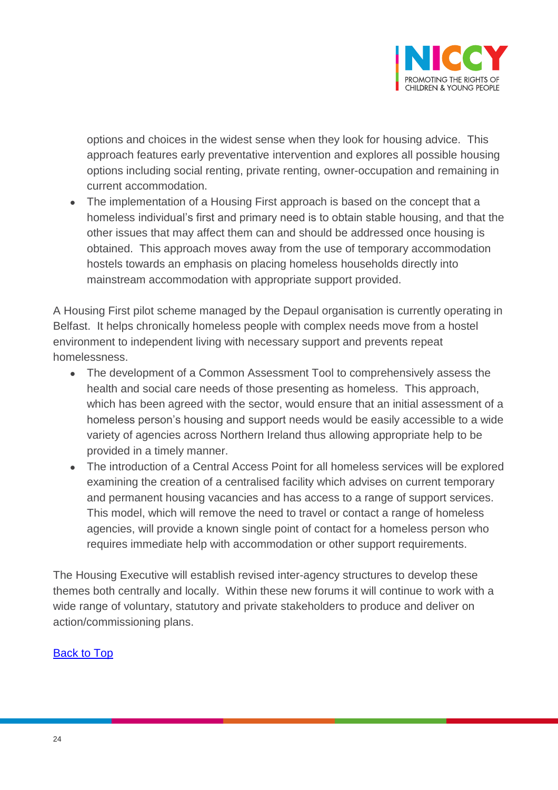

options and choices in the widest sense when they look for housing advice. This approach features early preventative intervention and explores all possible housing options including social renting, private renting, owner-occupation and remaining in current accommodation.

• The implementation of a Housing First approach is based on the concept that a homeless individual's first and primary need is to obtain stable housing, and that the other issues that may affect them can and should be addressed once housing is obtained. This approach moves away from the use of temporary accommodation hostels towards an emphasis on placing homeless households directly into mainstream accommodation with appropriate support provided.

A Housing First pilot scheme managed by the Depaul organisation is currently operating in Belfast. It helps chronically homeless people with complex needs move from a hostel environment to independent living with necessary support and prevents repeat homelessness.

- The development of a Common Assessment Tool to comprehensively assess the health and social care needs of those presenting as homeless. This approach, which has been agreed with the sector, would ensure that an initial assessment of a homeless person's housing and support needs would be easily accessible to a wide variety of agencies across Northern Ireland thus allowing appropriate help to be provided in a timely manner.
- The introduction of a Central Access Point for all homeless services will be explored examining the creation of a centralised facility which advises on current temporary and permanent housing vacancies and has access to a range of support services. This model, which will remove the need to travel or contact a range of homeless agencies, will provide a known single point of contact for a homeless person who requires immediate help with accommodation or other support requirements.

The Housing Executive will establish revised inter-agency structures to develop these themes both centrally and locally. Within these new forums it will continue to work with a wide range of voluntary, statutory and private stakeholders to produce and deliver on action/commissioning plans.